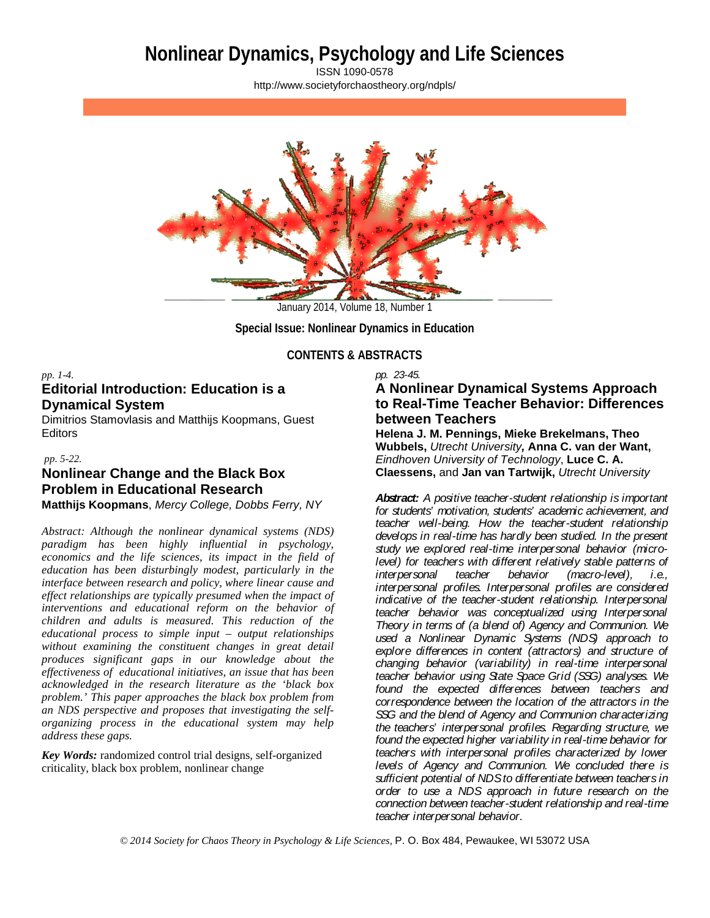# **Nonlinear Dynamics, Psychology and Life Sciences**

ISSN 1090-0578 <http://www.societyforchaostheory.org/ndpls/>



**Special Issue: Nonlinear Dynamics in Education**

## **CONTENTS & ABSTRACTS**

## *pp. 1-4.* **Editorial Introduction: Education is a Dynamical System**

Dimitrios Stamovlasis and Matthijs Koopmans, Guest Editors

## *pp. 5-22.*

# **Nonlinear Change and the Black Box Problem in Educational Research Matthijs Koopmans**, *Mercy College, Dobbs Ferry, NY*

*Abstract: Although the nonlinear dynamical systems (NDS) paradigm has been highly influential in psychology, economics and the life sciences, its impact in the field of education has been disturbingly modest, particularly in the interface between research and policy, where linear cause and effect relationships are typically presumed when the impact of interventions and educational reform on the behavior of children and adults is measured. This reduction of the educational process to simple input – output relationships without examining the constituent changes in great detail produces significant gaps in our knowledge about the effectiveness of educational initiatives, an issue that has been acknowledged in the research literature as the 'black box problem.' This paper approaches the black box problem from an NDS perspective and proposes that investigating the selforganizing process in the educational system may help address these gaps.*

*Key Words:* randomized control trial designs, self-organized criticality, black box problem, nonlinear change

## *pp. 23-45.* **A Nonlinear Dynamical Systems Approach to Real-Time Teacher Behavior: Differences between Teachers**

**Helena J. M. Pennings, Mieke Brekelmans, Theo Wubbels,** *Utrecht University,* **Anna C. van der Want,**  *Eindhoven University of Technology*, **Luce C. A. Claessens,** and **Jan van Tartwijk,** *Utrecht University*

*Abstract: A positive teacher-student relationship is important for students' motivation, students' academic achievement, and teacher well-being. How the teacher-student relationship develops in real-time has hardly been studied. In the present study we explored real-time interpersonal behavior (microlevel)* for teachers with different relatively stable patterns of interpersonal teacher behavior (macro-level), i.e., *interpersonal teacher behavior interpersonal profiles. Interpersonal profiles are considered indicative of the teacher-student relationship. Interpersonal teacher behavior was conceptualized using Interpersonal Theory in terms of (a blend of) Agency and Communion. We used a Nonlinear Dynamic Systems (NDS) approach to explore differences in content (attractors) and structure of changing behavior (variability) in real-time interpersonal teacher behavior using State Space Grid (SSG) analyses. We found the expected differences between teachers and correspondence between the location of the attractors in the SSG and the blend of Agency and Communion characterizing the teachers' interpersonal profiles. Regarding structure, we found the expected higher variability in real-time behavior for teachers with interpersonal profiles characterized by lower levels of Agency and Communion. We concluded there is sufficient potential of NDS to differentiate between teachers in order to use a NDS approach in future research on the connection between teacher-student relationship and real-time teacher interpersonal behavior.*